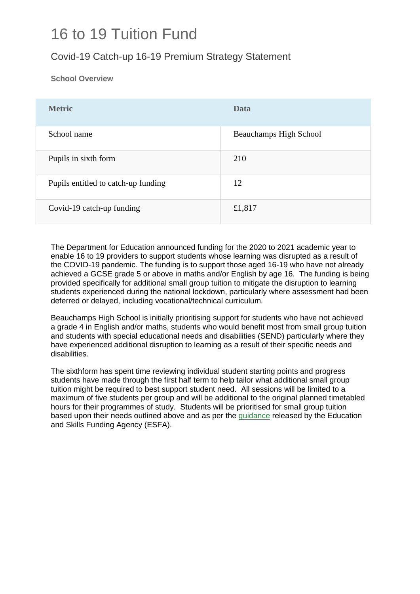## 16 to 19 Tuition Fund

### Covid-19 Catch-up 16-19 Premium Strategy Statement

**School Overview**

| <b>Metric</b>                       | Data                   |
|-------------------------------------|------------------------|
| School name                         | Beauchamps High School |
| Pupils in sixth form                | 210                    |
| Pupils entitled to catch-up funding | 12                     |
| Covid-19 catch-up funding           | £1,817                 |

The Department for Education announced funding for the 2020 to 2021 academic year to enable 16 to 19 providers to support students whose learning was disrupted as a result of the COVID-19 pandemic. The funding is to support those aged 16-19 who have not already achieved a GCSE grade 5 or above in maths and/or English by age 16. The funding is being provided specifically for additional small group tuition to mitigate the disruption to learning students experienced during the national lockdown, particularly where assessment had been deferred or delayed, including vocational/technical curriculum.

Beauchamps High School is initially prioritising support for students who have not achieved a grade 4 in English and/or maths, students who would benefit most from small group tuition and students with special educational needs and disabilities (SEND) particularly where they have experienced additional disruption to learning as a result of their specific needs and disabilities.

The sixthform has spent time reviewing individual student starting points and progress students have made through the first half term to help tailor what additional small group tuition might be required to best support student need. All sessions will be limited to a maximum of five students per group and will be additional to the original planned timetabled hours for their programmes of study. Students will be prioritised for small group tuition based upon their needs outlined above and as per the [guidance](https://www.gov.uk/guidance/16-to-19-funding-16-to-19-tuition-fund) released by the Education and Skills Funding Agency (ESFA).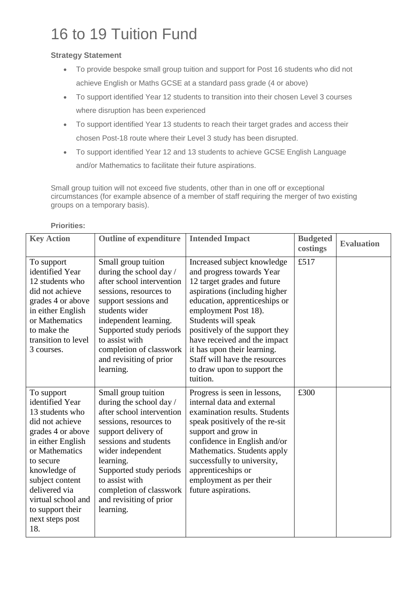# 16 to 19 Tuition Fund

#### **Strategy Statement**

- To provide bespoke small group tuition and support for Post 16 students who did not achieve English or Maths GCSE at a standard pass grade (4 or above)
- To support identified Year 12 students to transition into their chosen Level 3 courses where disruption has been experienced
- To support identified Year 13 students to reach their target grades and access their chosen Post-18 route where their Level 3 study has been disrupted.
- To support identified Year 12 and 13 students to achieve GCSE English Language and/or Mathematics to facilitate their future aspirations.

Small group tuition will not exceed five students, other than in one off or exceptional circumstances (for example absence of a member of staff requiring the merger of two existing groups on a temporary basis).

| <b>Key Action</b>   | <b>Outline of expenditure</b> | <b>Intended Impact</b>         | <b>Budgeted</b> | <b>Evaluation</b> |
|---------------------|-------------------------------|--------------------------------|-----------------|-------------------|
|                     |                               |                                | costings        |                   |
| To support          | Small group tuition           | Increased subject knowledge    | £517            |                   |
| identified Year     | during the school day /       | and progress towards Year      |                 |                   |
| 12 students who     | after school intervention     | 12 target grades and future    |                 |                   |
| did not achieve     | sessions, resources to        | aspirations (including higher  |                 |                   |
| grades 4 or above   | support sessions and          | education, apprenticeships or  |                 |                   |
| in either English   | students wider                | employment Post 18).           |                 |                   |
| or Mathematics      | independent learning.         | Students will speak            |                 |                   |
| to make the         | Supported study periods       | positively of the support they |                 |                   |
| transition to level | to assist with                | have received and the impact   |                 |                   |
| 3 courses.          | completion of classwork       | it has upon their learning.    |                 |                   |
|                     | and revisiting of prior       | Staff will have the resources  |                 |                   |
|                     | learning.                     | to draw upon to support the    |                 |                   |
|                     |                               | tuition.                       |                 |                   |
| To support          | Small group tuition           | Progress is seen in lessons,   | £300            |                   |
| identified Year     | during the school day /       | internal data and external     |                 |                   |
| 13 students who     | after school intervention     | examination results. Students  |                 |                   |
| did not achieve     | sessions, resources to        | speak positively of the re-sit |                 |                   |
| grades 4 or above   | support delivery of           | support and grow in            |                 |                   |
| in either English   | sessions and students         | confidence in English and/or   |                 |                   |
| or Mathematics      | wider independent             | Mathematics. Students apply    |                 |                   |
| to secure           | learning.                     | successfully to university,    |                 |                   |
| knowledge of        | Supported study periods       | apprenticeships or             |                 |                   |
| subject content     | to assist with                | employment as per their        |                 |                   |
| delivered via       | completion of classwork       | future aspirations.            |                 |                   |
| virtual school and  | and revisiting of prior       |                                |                 |                   |
| to support their    | learning.                     |                                |                 |                   |
| next steps post     |                               |                                |                 |                   |
| 18.                 |                               |                                |                 |                   |

**Priorities:**